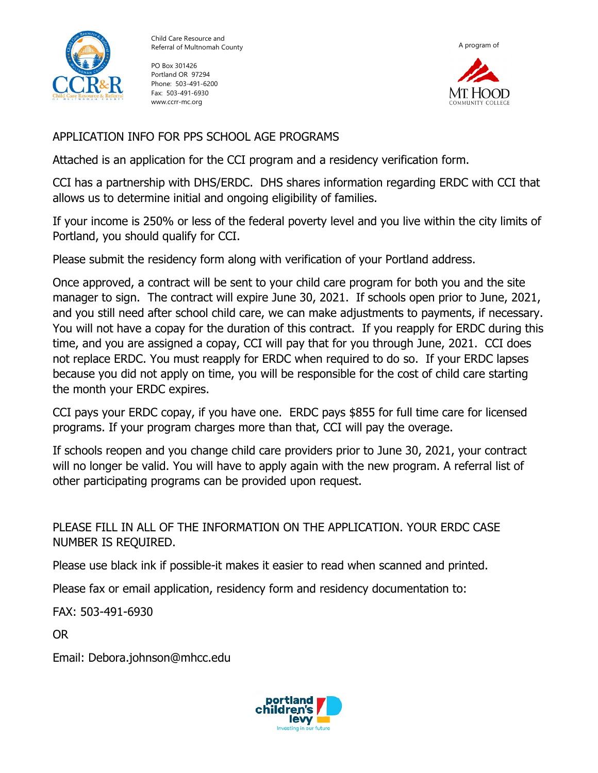

Child Care Resource and Referral of Multnomah County

PO Box 301426 Portland OR 97294 Phone: 503-491-6200 Fax: 503-491-6930 www.ccrr-mc.org



## APPLICATION INFO FOR PPS SCHOOL AGE PROGRAMS

Attached is an application for the CCI program and a residency verification form.

CCI has a partnership with DHS/ERDC. DHS shares information regarding ERDC with CCI that allows us to determine initial and ongoing eligibility of families.

If your income is 250% or less of the federal poverty level and you live within the city limits of Portland, you should qualify for CCI.

Please submit the residency form along with verification of your Portland address.

Once approved, a contract will be sent to your child care program for both you and the site manager to sign. The contract will expire June 30, 2021. If schools open prior to June, 2021, and you still need after school child care, we can make adjustments to payments, if necessary. You will not have a copay for the duration of this contract. If you reapply for ERDC during this time, and you are assigned a copay, CCI will pay that for you through June, 2021. CCI does not replace ERDC. You must reapply for ERDC when required to do so. If your ERDC lapses because you did not apply on time, you will be responsible for the cost of child care starting the month your ERDC expires.

CCI pays your ERDC copay, if you have one. ERDC pays \$855 for full time care for licensed programs. If your program charges more than that, CCI will pay the overage.

If schools reopen and you change child care providers prior to June 30, 2021, your contract will no longer be valid. You will have to apply again with the new program. A referral list of other participating programs can be provided upon request.

PLEASE FILL IN ALL OF THE INFORMATION ON THE APPLICATION. YOUR ERDC CASE NUMBER IS REQUIRED.

Please use black ink if possible-it makes it easier to read when scanned and printed.

Please fax or email application, residency form and residency documentation to:

FAX: 503-491-6930

OR

Email: Debora.johnson@mhcc.edu

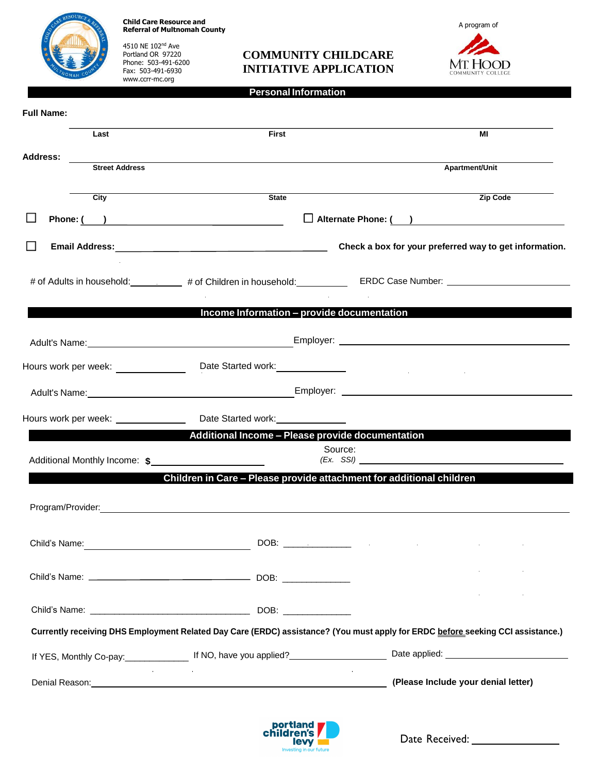**Child Care Resource and Referral of Multnomah County**

4510 NE 102nd Ave Portland OR 97220 Phone: 503-491-6200 Fax: 503-491-6930 [www.ccrr-mc.org](http://www.ccrr-mc.org/)

## **COMMUNITY CHILDCARE INITIATIVE APPLICATION**



**Personal Information**

| <b>Full Name:</b> |                          |                                                                                                                                                                                                                               |                                                        |
|-------------------|--------------------------|-------------------------------------------------------------------------------------------------------------------------------------------------------------------------------------------------------------------------------|--------------------------------------------------------|
|                   | Last                     | <b>First</b>                                                                                                                                                                                                                  | МI                                                     |
| <b>Address:</b>   |                          |                                                                                                                                                                                                                               |                                                        |
|                   | <b>Street Address</b>    |                                                                                                                                                                                                                               | Apartment/Unit                                         |
|                   | City                     | $\overline{\mathsf{State}}$                                                                                                                                                                                                   | Zip Code                                               |
|                   |                          | Phone: ( )                                                                                                                                                                                                                    | Alternate Phone: ( )                                   |
|                   |                          |                                                                                                                                                                                                                               | Check a box for your preferred way to get information. |
|                   |                          | # of Adults in household: ___________ # of Children in household: ___________ ERDC Case Number: ______________________                                                                                                        |                                                        |
|                   |                          | Income Information - provide documentation                                                                                                                                                                                    |                                                        |
|                   |                          |                                                                                                                                                                                                                               |                                                        |
|                   |                          | Hours work per week: ___________________Date Started work: _____________________                                                                                                                                              |                                                        |
|                   |                          |                                                                                                                                                                                                                               |                                                        |
|                   |                          | Hours work per week: ______________________Date Started work: __________________                                                                                                                                              |                                                        |
|                   |                          | Additional Income - Please provide documentation                                                                                                                                                                              |                                                        |
|                   |                          | Source:                                                                                                                                                                                                                       |                                                        |
|                   |                          | Children in Care - Please provide attachment for additional children                                                                                                                                                          |                                                        |
|                   |                          |                                                                                                                                                                                                                               |                                                        |
| Child's Name:     |                          | $DOB:$ $\overline{\phantom{a}}$                                                                                                                                                                                               |                                                        |
|                   |                          |                                                                                                                                                                                                                               |                                                        |
|                   |                          |                                                                                                                                                                                                                               |                                                        |
|                   |                          | Currently receiving DHS Employment Related Day Care (ERDC) assistance? (You must apply for ERDC before seeking CCI assistance.)                                                                                               |                                                        |
|                   |                          | If YES, Monthly Co-pay: 1f NO, have you applied?<br>16 NO, have you applied?<br>Date applied: 2011                                                                                                                            |                                                        |
|                   | <b>Contract Contract</b> | Denial Reason: Note and the set of the set of the set of the set of the set of the set of the set of the set of the set of the set of the set of the set of the set of the set of the set of the set of the set of the set of | (Please Include your denial letter)                    |



Date Received: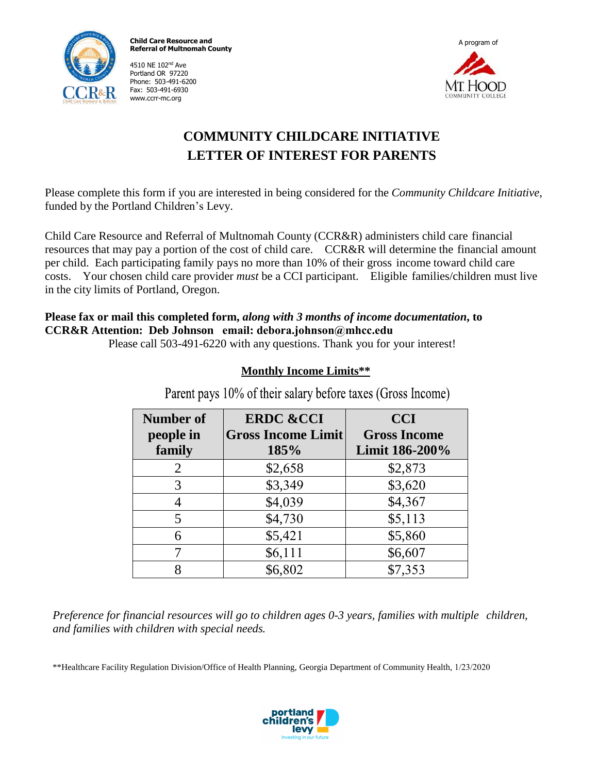

**Child Care Resource and Referral of Multnomah County**

4510 NE 102nd Ave Portland OR 97220 Phone: 503-491-6200 Fax: 503-491-6930 [www.ccrr-mc.org](http://www.ccrr-mc.org/)



# **COMMUNITY CHILDCARE INITIATIVE LETTER OF INTEREST FOR PARENTS**

Please complete this form if you are interested in being considered for the *Community Childcare Initiative*, funded by the Portland Children's Levy.

Child Care Resource and Referral of Multnomah County (CCR&R) administers child care financial resources that may pay a portion of the cost of child care. CCR&R will determine the financial amount per child. Each participating family pays no more than 10% of their gross income toward child care costs. Your chosen child care provider *must* be a CCI participant. Eligible families/children must live in the city limits of Portland, Oregon.

#### **Please fax or mail this completed form,** *along with 3 months of income documentation***, to CCR&R Attention: Deb Johnson email: debora.johnson@mhcc.edu**

Please call 503-491-6220 with any questions. Thank you for your interest!

## **Monthly Income Limits\*\***

| <b>Number of</b><br>people in<br>family | <b>ERDC &amp;CCI</b><br><b>Gross Income Limit</b><br>185% | <b>CCI</b><br><b>Gross Income</b><br>Limit 186-200% |
|-----------------------------------------|-----------------------------------------------------------|-----------------------------------------------------|
| 2                                       | \$2,658                                                   | \$2,873                                             |
| 3                                       | \$3,349                                                   | \$3,620                                             |
|                                         | \$4,039                                                   | \$4,367                                             |
| 5                                       | \$4,730                                                   | \$5,113                                             |
| 6                                       | \$5,421                                                   | \$5,860                                             |
|                                         | \$6,111                                                   | \$6,607                                             |
|                                         | \$6,802                                                   | \$7,353                                             |

Parent pays 10% of their salary before taxes (Gross Income)

*Preference for financial resources will go to children ages 0-3 years, families with multiple children, and families with children with special needs.*

\*\*Healthcare Facility Regulation Division/Office of Health Planning, Georgia Department of Community Health, 1/23/2020

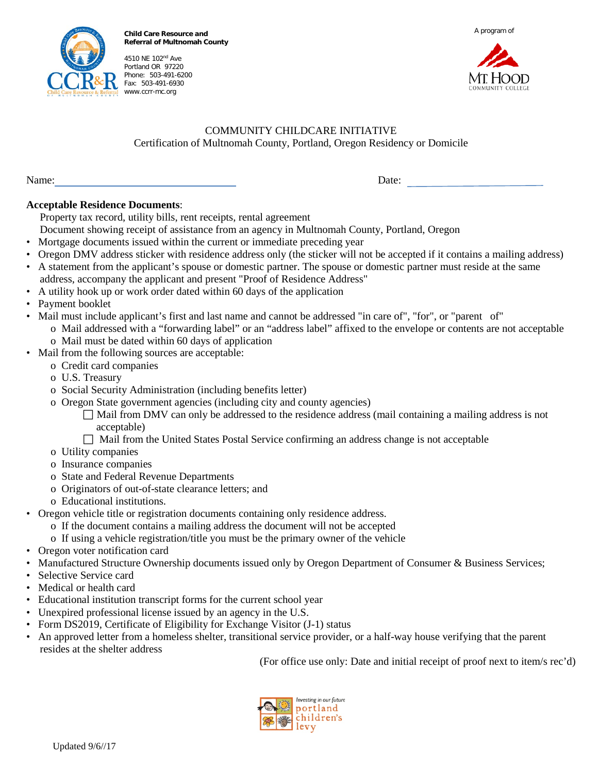

**Child Care Resource and Referral of Multnomah County**

4510 NE 102nd Ave Portland OR 97220 Phone: 503-491-6200 Fax: 503-491-6930 www.ccrr-mc.org





#### COMMUNITY CHILDCARE INITIATIVE Certification of Multnomah County, Portland, Oregon Residency or Domicile

Name: Date:

#### **Acceptable Residence Documents**:

Property tax record, utility bills, rent receipts, rental agreement

Document showing receipt of assistance from an agency in Multnomah County, Portland, Oregon

- Mortgage documents issued within the current or immediate preceding year
- Oregon DMV address sticker with residence address only (the sticker will not be accepted if it contains a mailing address)
- A statement from the applicant's spouse or domestic partner. The spouse or domestic partner must reside at the same address, accompany the applicant and present "Proof of Residence Address"
- A utility hook up or work order dated within 60 days of the application
- Payment booklet
- Mail must include applicant's first and last name and cannot be addressed "in care of", "for", or "parent of" o Mail addressed with a "forwarding label" or an "address label" affixed to the envelope or contents are not acceptable o Mail must be dated within 60 days of application
- Mail from the following sources are acceptable:
	- o Credit card companies
		- o U.S. Treasury
		- o Social Security Administration (including benefits letter)
		- o Oregon State government agencies (including city and county agencies)
			- $\Box$  Mail from DMV can only be addressed to the residence address (mail containing a mailing address is not acceptable)
			- Mail from the United States Postal Service confirming an address change is not acceptable
		- o Utility companies
		- o Insurance companies
		- o State and Federal Revenue Departments
		- o Originators of out-of-state clearance letters; and
	- o Educational institutions.
- Oregon vehicle title or registration documents containing only residence address.
	- o If the document contains a mailing address the document will not be accepted
	- o If using a vehicle registration/title you must be the primary owner of the vehicle
- Oregon voter notification card
- Manufactured Structure Ownership documents issued only by Oregon Department of Consumer & Business Services;
- Selective Service card
- Medical or health card
- Educational institution transcript forms for the current school year
- Unexpired professional license issued by an agency in the U.S.
- Form DS2019, Certificate of Eligibility for Exchange Visitor (J-1) status
- An approved letter from a homeless shelter, transitional service provider, or a half-way house verifying that the parent resides at the shelter address

(For office use only: Date and initial receipt of proof next to item/s rec'd)